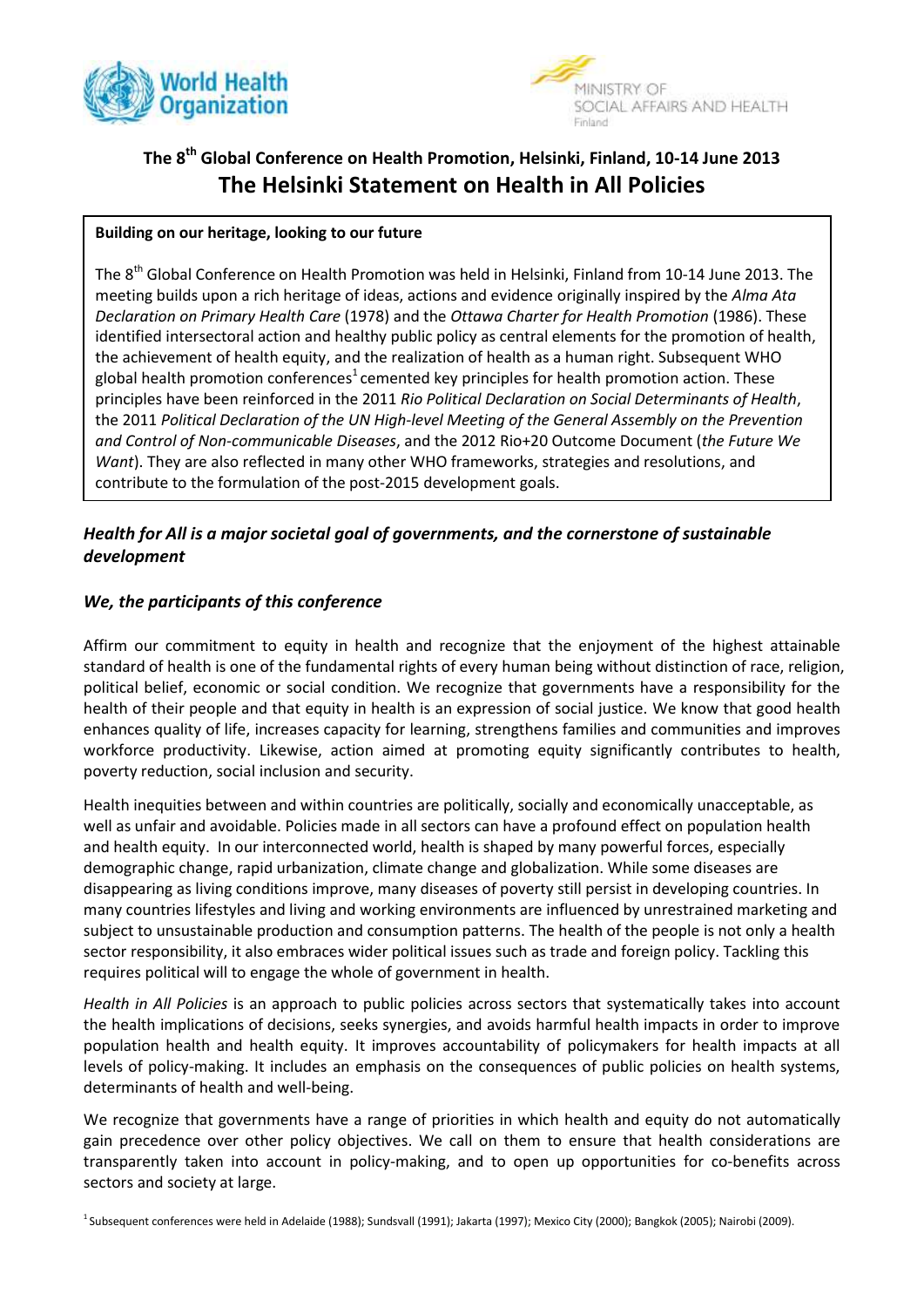



# **The 8th Global Conference on Health Promotion, Helsinki, Finland, 10-14 June 2013 The Helsinki Statement on Health in All Policies**

#### **Building on our heritage, looking to our future**

The 8<sup>th</sup> Global Conference on Health Promotion was held in Helsinki, Finland from 10-14 June 2013. The meeting builds upon a rich heritage of ideas, actions and evidence originally inspired by the *Alma Ata Declaration on Primary Health Care* (1978) and the *Ottawa Charter for Health Promotion* (1986). These identified intersectoral action and healthy public policy as central elements for the promotion of health, the achievement of health equity, and the realization of health as a human right. Subsequent WHO global health promotion conferences<sup>1</sup> cemented key principles for health promotion action. These principles have been reinforced in the 2011 *Rio Political Declaration on Social Determinants of Health*, the 2011 *Political Declaration of the UN High-level Meeting of the General Assembly on the Prevention and Control of Non-communicable Diseases*, and the 2012 Rio+20 Outcome Document (*the Future We Want*). They are also reflected in many other WHO frameworks, strategies and resolutions, and contribute to the formulation of the post-2015 development goals.

## *Health for All is a major societal goal of governments, and the cornerstone of sustainable development*

### *We, the participants of this conference*

Affirm our commitment to equity in health and recognize that the enjoyment of the highest attainable standard of health is one of the fundamental rights of every human being without distinction of race, religion, political belief, economic or social condition. We recognize that governments have a responsibility for the health of their people and that equity in health is an expression of social justice. We know that good health enhances quality of life, increases capacity for learning, strengthens families and communities and improves workforce productivity. Likewise, action aimed at promoting equity significantly contributes to health, poverty reduction, social inclusion and security.

Health inequities between and within countries are politically, socially and economically unacceptable, as well as unfair and avoidable. Policies made in all sectors can have a profound effect on population health and health equity. In our interconnected world, health is shaped by many powerful forces, especially demographic change, rapid urbanization, climate change and globalization. While some diseases are disappearing as living conditions improve, many diseases of poverty still persist in developing countries. In many countries lifestyles and living and working environments are influenced by unrestrained marketing and subject to unsustainable production and consumption patterns. The health of the people is not only a health sector responsibility, it also embraces wider political issues such as trade and foreign policy. Tackling this requires political will to engage the whole of government in health.

*Health in All Policies* is an approach to public policies across sectors that systematically takes into account the health implications of decisions, seeks synergies, and avoids harmful health impacts in order to improve population health and health equity. It improves accountability of policymakers for health impacts at all levels of policy-making. It includes an emphasis on the consequences of public policies on health systems, determinants of health and well-being.

We recognize that governments have a range of priorities in which health and equity do not automatically gain precedence over other policy objectives. We call on them to ensure that health considerations are transparently taken into account in policy-making, and to open up opportunities for co-benefits across sectors and society at large.

1 Subsequent conferences were held in Adelaide (1988); Sundsvall (1991); Jakarta (1997); Mexico City (2000); Bangkok (2005); Nairobi (2009).